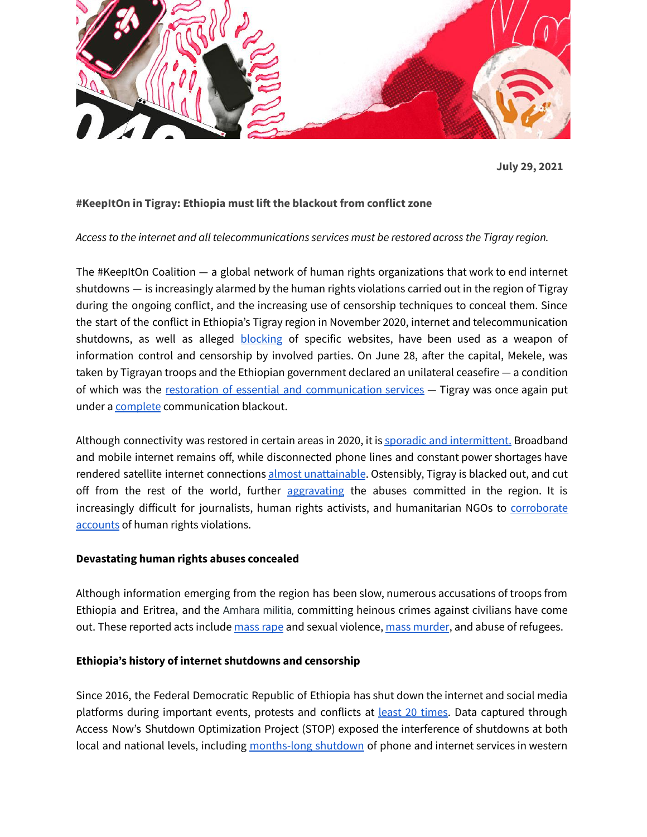

**July 29, 2021**

# **#KeepItOn in Tigray: Ethiopia must lift the blackout from conflict zone**

### *Access to the internet and all telecommunications services must be restored across the Tigray region.*

The #KeepItOn Coalition — a global network of human rights organizations that work to end internet shutdowns — is increasingly alarmed by the human rights violations carried out in the region of Tigray during the ongoing conflict, and the increasing use of censorship techniques to conceal them. Since the start of the conflict in Ethiopia's Tigray region in November 2020, internet and telecommunication shutdowns, as well as alleged **[blocking](https://omnatigray.org/) of specific websites**, have been used as a weapon of information control and censorship by involved parties. On June 28, after the capital, Mekele, was taken by Tigrayan troops and the Ethiopian government declared an unilateral ceasefire — a condition of which was the restoration of essential and [communication](https://twitter.com/reda_getachew/status/1411621680280113156?s=20) services — Tigray was once again put under a [complete](https://twitter.com/OmnaTigray/status/1409388282350288896) communication blackout.

Although connectivity was restored in certain areas in 2020, it is sporadic and [intermittent.](https://cpj.org/2021/05/journalists-shutdowns-myanmar-ethiopia-kashmir/) Broadband and mobile internet remains off, while disconnected phone lines and constant power shortages have rendered satellite internet connections almost [unattainable](https://www.bbc.com/news/world-africa-55189607). Ostensibly, Tigray is blacked out, and cut off from the rest of the world, further [aggravating](https://thesecuritydistillery.org/all-articles/ethiopias-internet-shutdowns-contributing-to-humanitarian-catastrophe-in-the-tigray) the abuses committed in the region. It is increasingly difficult for journalists, human rights activists, and humanitarian NGOs to [corroborate](https://mg.co.za/africa/2020-11-16-blackout-makes-it-hard-to-report-on-ethiopias-civil-war/) [accounts](https://mg.co.za/africa/2020-11-16-blackout-makes-it-hard-to-report-on-ethiopias-civil-war/) of human rights violations.

#### **Devastating human rights abuses concealed**

Although information emerging from the region has been slow, numerous accusations of troops from Ethiopia and Eritrea, and the Amhara militia, committing heinous crimes against civilians have come out. These reported acts include [mass](https://globalvoices.org/2021/07/05/vicious-mass-rape-of-women-has-become-a-weapon-against-the-tigray-in-ethiopian-war/) rape and sexual violence, mass [murder](https://www.bbc.com/news/world-africa-56603022), and abuse of refugees.

#### **Ethiopia's history of internet shutdowns and censorship**

Since 2016, the Federal Democratic Republic of Ethiopia has shut down the internet and social media platforms during important events, protests and conflicts at **least 20 times**. Data captured through Access Now's Shutdown Optimization Project (STOP) exposed the interference of shutdowns at both local and national levels, including [months-long](https://qz.com/africa/1884387/ethiopia-internet-is-back-on-but-oromo-tensions-remain/) shutdown of phone and internet services in western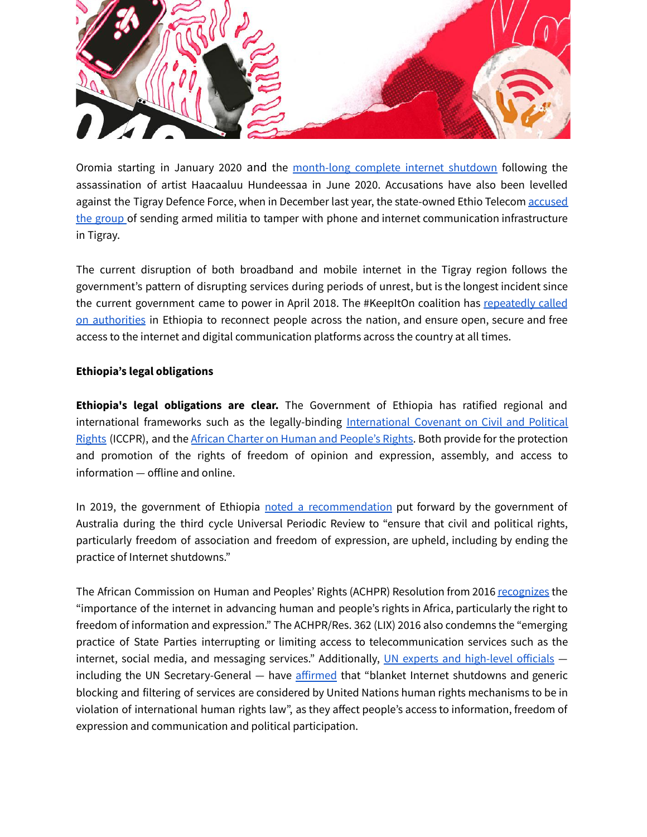

Oromia starting in January 2020 and the [month-long](https://www.accessnow.org/keepiton-ethiopian-government-must-end-arbitrary-internet-shutdowns/) complete internet shutdown following the assassination of artist Haacaaluu Hundeessaa in June 2020. Accusations have also been levelled against the Tigray Defence Force, when in December last year, the state-owned Ethio Telecom [accused](https://addisfortune.news/news-alert/ethio-telecom-claims-regional-operations-in-meqelle-tampered-with/?fbclid=IwAR0wsczeoVcnb8nVudoEW7JM162tpj7qZNxaejztkgb3aRu5W1vJcdiZnZ0) the [group](https://addisfortune.news/news-alert/ethio-telecom-claims-regional-operations-in-meqelle-tampered-with/?fbclid=IwAR0wsczeoVcnb8nVudoEW7JM162tpj7qZNxaejztkgb3aRu5W1vJcdiZnZ0) of sending armed militia to tamper with phone and internet communication infrastructure in Tigray.

The current disruption of both broadband and mobile internet in the Tigray region follows the government's pattern of disrupting services during periods of unrest, but is the longest incident since the current government came to power in April 2018. The #KeepItOn coalition has [repeatedly](https://www.accessnow.org/keepiton-ethiopia-election-2021/) called on [authorities](https://www.accessnow.org/keepiton-ethiopia-election-2021/) in Ethiopia to reconnect people across the nation, and ensure open, secure and free access to the internet and digital communication platforms across the country at all times.

## **Ethiopia's legal obligations**

**Ethiopia's legal obligations are clear.** The Government of Ethiopia has ratified regional and international frameworks such as the legally-binding [International](https://www.ohchr.org/en/professionalinterest/pages/ccpr.aspx) Covenant on Civil and Political [Rights](https://www.ohchr.org/en/professionalinterest/pages/ccpr.aspx) (ICCPR), and the African Charter on Human and [People's](https://www.achpr.org/legalinstruments/detail?id=49#:~:text=The%20African%20Charter%20on%20Human,freedoms%20in%20the%20African%20continent.) Rights. Both provide for the protection and promotion of the rights of freedom of opinion and expression, assembly, and access to information — offline and online.

In 2019, the government of Ethiopia noted a [recommendation](https://www.ohchr.org/EN/HRBodies/UPR/Pages/ETIndex.aspx) put forward by the government of Australia during the third cycle Universal Periodic Review to "ensure that civil and political rights, particularly freedom of association and freedom of expression, are upheld, including by ending the practice of Internet shutdowns."

The African Commission on Human and Peoples' Rights (ACHPR) Resolution from 2016 [recognizes](https://www.achpr.org/sessions/resolutions?id=374) the "importance of the internet in advancing human and people's rights in Africa, particularly the right to freedom of information and expression." The ACHPR/Res. 362 (LIX) 2016 also condemns the "emerging practice of State Parties interrupting or limiting access to telecommunication services such as the internet, social media, and messaging services." Additionally, UN experts and [high-level](https://documents-dds-ny.un.org/doc/UNDOC/LTD/G21/173/56/PDF/G2117356.pdf?OpenElement) officials including the UN Secretary-General — have [affirmed](https://undocs.org/A/74/821) that "blanket Internet shutdowns and generic blocking and filtering of services are considered by United Nations human rights mechanisms to be in violation of international human rights law", as they affect people's access to information, freedom of expression and communication and political participation.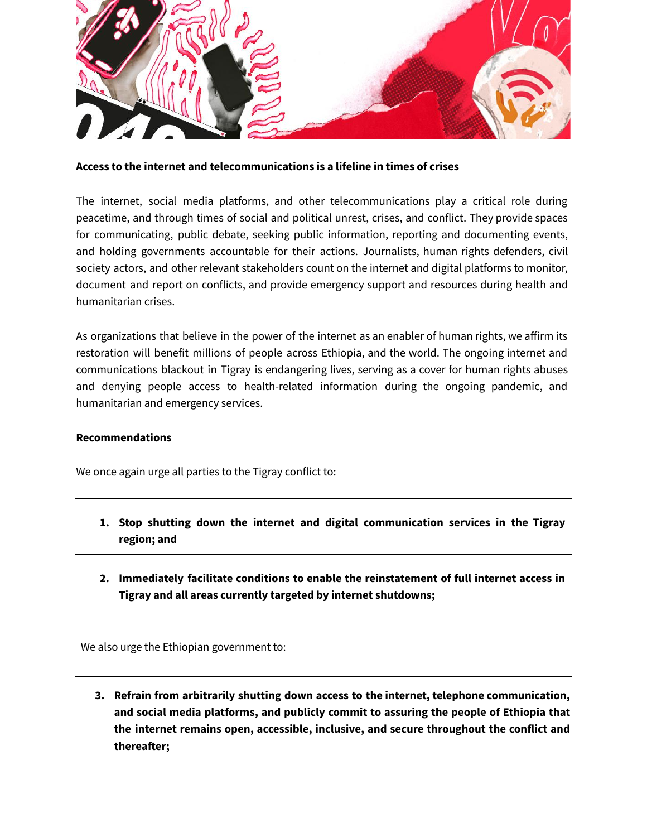

**Access to the internet and telecommunications is a lifeline in times of crises**

The internet, social media platforms, and other telecommunications play a critical role during peacetime, and through times of social and political unrest, crises, and conflict. They provide spaces for communicating, public debate, seeking public information, reporting and documenting events, and holding governments accountable for their actions. Journalists, human rights defenders, civil society actors, and other relevant stakeholders count on the internet and digital platforms to monitor, document and report on conflicts, and provide emergency support and resources during health and humanitarian crises.

As organizations that believe in the power of the internet as an enabler of human rights, we affirm its restoration will benefit millions of people across Ethiopia, and the world. The ongoing internet and communications blackout in Tigray is endangering lives, serving as a cover for human rights abuses and denying people access to health-related information during the ongoing pandemic, and humanitarian and emergency services.

## **Recommendations**

We once again urge all parties to the Tigray conflict to:

- **1. Stop shutting down the internet and digital communication services in the Tigray region; and**
- **2. Immediately facilitate conditions to enable the reinstatement of full internet access in Tigray and all areas currently targeted by internet shutdowns;**

We also urge the Ethiopian government to:

**3. Refrain from arbitrarily shutting down access to the internet, telephone communication, and social media platforms, and publicly commit to assuring the people of Ethiopia that the internet remains open, accessible, inclusive, and secure throughout the conflict and thereafter;**